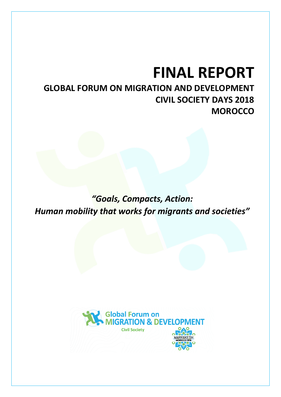# **FINAL REPORT**

# **GLOBAL FORUM ON MIGRATION AND DEVELOPMENT CIVIL SOCIETY DAYS 2018 MOROCCO**

*"Goals, Compacts, Action: Human mobility that works for migrants and societies"*

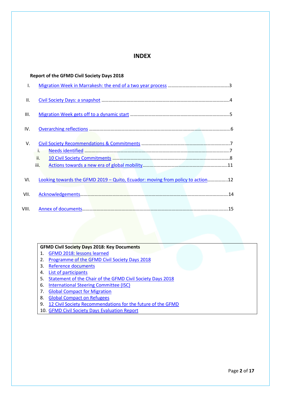# **INDEX**

|       | <b>Report of the GFMD Civil Society Days 2018</b>                              |  |
|-------|--------------------------------------------------------------------------------|--|
| I.    |                                                                                |  |
| Ш.    |                                                                                |  |
| III.  |                                                                                |  |
| IV.   |                                                                                |  |
| V.    |                                                                                |  |
|       | i.                                                                             |  |
|       | ii.                                                                            |  |
|       | iii.                                                                           |  |
|       |                                                                                |  |
| VI.   | Looking towards the GFMD 2019 - Quito, Ecuador: moving from policy to action12 |  |
| VII.  |                                                                                |  |
| VIII. |                                                                                |  |

#### **GFMD Civil Society Days 2018: Key Documents**

- 1. [GFMD 2018: lessons learned](#page-14-1)
- 2. [Programme of the GFMD Civil Society Days](http://madenetwork.org/sites/default/files/EXTERNAL_CSD%20Programme%20draft_29.11.18.pdf) 2018
- 3. [Reference documents](http://madenetwork.org/civil-society-days-2018-gfmd-2018)
- 4. [List of participants](http://madenetwork.org/sites/default/files/list%20of%20participants_GFMD%20Civil%20Society%20Days%202018_22Nov%20_0-2_1.pdf)
- 5. [Statement of the Chair of the GFMD Civil Society Days 2018](http://madenetwork.org/sites/default/files/GFMD%20CSD%20Chair%20report%202018_ENG.pdf)
- 6. [International Steering Committee \(ISC\)](http://madenetwork.org/international-steering-committee)
- 7. **[Global Compact for Migration](https://www.un.org/pga/72/wp-content/uploads/sites/51/2018/07/180713_Agreed-Outcome_Global-Compact-for-Migration.pdf)**
- 8. [Global Compact on](https://www.unhcr.org/gcr/GCR_English.pdf) Refugees
- 9. [12 Civil Society Recommendations for the future of the GFMD](https://gfmd.org/12-civil-society-recommendations-future-gfmd)
- 10. [GFMD Civil Society Days Evaluation Report](http://madenetwork.org/sites/default/files/GFMD%20CSD%202018%20Evaluation.pdf)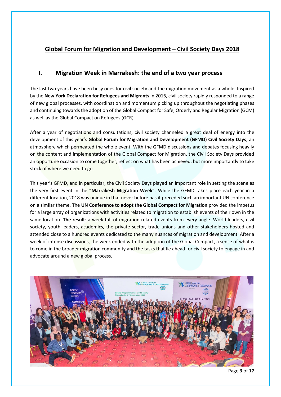# **Global Forum for Migration and Development – Civil Society Days 2018**

# <span id="page-2-0"></span>**I. Migration Week in Marrakesh: the end of a two year process**

The last two years have been busy ones for civil society and the migration movement as a whole. Inspired by the **New York Declaration for Refugees and Migrants** in 2016, civil society rapidly responded to a range of new global processes, with coordination and momentum picking up throughout the negotiating phases and continuing towards the adoption of the Global Compact for Safe, Orderly and Regular Migration (GCM) as well as the Global Compact on Refugees (GCR).

After a year of negotiations and consultations, civil society channeled a great deal of energy into the development of this year's **Global Forum for Migration and Development (GFMD) Civil Society Days**; an atmosphere which permeated the whole event. With the GFMD discussions and debates focusing heavily on the content and implementation of the Global Compact for Migration, the Civil Society Days provided an opportune occasion to come together, reflect on what has been achieved, but more importantly to take stock of where we need to go.

This year's GFMD, and in particular, the Civil Society Days played an important role in setting the scene as the very first event in the "**Marrakesh Migration Week**". While the GFMD takes place each year in a different location, 2018 was unique in that never before has it preceded such an important UN conference on a similar theme. The **UN Conference to adopt the Global Compact for Migration** provided the impetus for a large array of organizations with activities related to migration to establish events of their own in the same location. **The result**: a week full of migration-related events from every angle. World leaders, civil society, youth leaders, academics, the private sector, trade unions and other stakeholders hosted and attended close to a hundred events dedicated to the many nuances of migration and development. After a week of intense discussions, the week ended with the adoption of the Global Compact, a sense of what is to come in the broader migration community and the tasks that lie ahead for civil society to engage in and advocate around a new global process.



Page **3** of **17**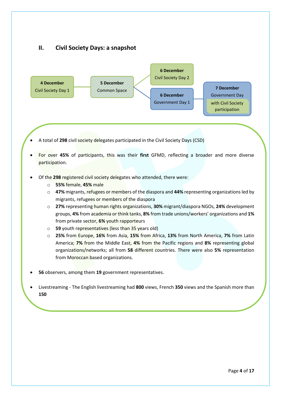# <span id="page-3-0"></span>**II. Civil Society Days: a snapshot**



- A total of **298** civil society delegates participated in the Civil Society Days (CSD)
- For over **45%** of participants, this was their **first** GFMD, reflecting a broader and more diverse participation.
- Of the **298** registered civil society delegates who attended, there were:
	- o **55%** female, **45%** male
	- o **47%** migrants, refugees or members of the diaspora and **44%** representing organizations led by migrants, refugees or members of the diaspora
	- o **27%** representing human rights organizations, **30%** migrant/diaspora NGOs, **24%** development groups, **4%** from academia or think tanks, **8%** from trade unions/workers' organizations and **1%** from private sector, **6%** youth rapporteurs
	- o **59** youth representatives (less than 35 years old)
	- o **25%** from Europe, **16%** from Asia, **15%** from Africa, **13%** from North America, **7%** from Latin America; **7%** from the Middle East, **4%** from the Pacific regions and **8%** representing global organizations/networks; all from **58** different countries. There were also **5%** representation from Moroccan based organizations.
- **56** observers, among them **19** government representatives.
- Livestreaming The English livestreaming had **800** views, French **350** views and the Spanish more than **150**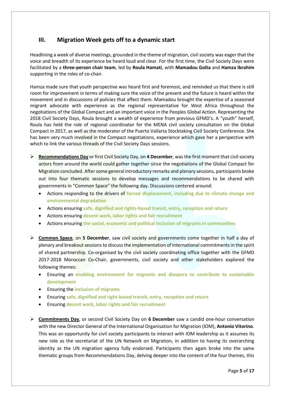# <span id="page-4-0"></span>**III. Migration Week gets off to a dynamic start**

Headlining a week of diverse meetings, grounded in the theme of migration, civil society was eager that the voice and breadth of its experience be heard loud and clear. For the first time, the Civil Society Days were facilitated by a **three-person chair team**, led by **Roula Hamati**, with **Mamadou Goïta** and **Hamza Ibrahim** supporting in the roles of co-chair.

Hamza made sure that youth perspective was heard first and foremost, and reminded us that there is still room for improvement in terms of making sure the voice of the present and the future is heard within the movement and in discussions of policies that affect them. Mamadou brought the expertise of a seasoned migrant advocate with experience as the regional representative for West Africa throughout the negotiations of the Global Compact and an important voice in the Peoples Global Action. Representing the 2018 Civil Society Days, Roula brought a wealth of experience from previous GFMD's. A "youth" herself, Roula has held the role of regional coordinator for the MENA civil society consultation on the Global Compact in 2017, as well as the moderator of the Puerto Vallarta Stocktaking Civil Society Conference. She has been very much involved in the Compact negotiations, experience which gave her a perspective with which to link the various threads of the Civil Society Days sessions.

- ➢ **Recommendations Day** or first Civil Society Day, on **4 December**, was the first moment that civil society actors from around the world could gather together since the negotiations of the Global Compact for Migration concluded. After some general introductory remarks and plenary sessions, participants broke out into four thematic sessions to develop messages and recommendations to be shared with governments in "Common Space" the following day. Discussions centered around:
	- Actions responding to the drivers of **forced displacement, including due to climate change and environmental degradation**
	- Actions ensuring **safe, dignified and rights‐based transit, entry, reception and return**
	- Actions ensuring **decent work, labor rights and fair recruitment**
	- Actions ensuring **the social, economic and political inclusion of migrants in communities**
- ➢ **Common Space**, on **5 December**, saw civil society and governments come together in half a day of plenary and breakout sessions to discuss the implementation of international commitments in the spirit of shared partnership. Co-organised by the civil society coordinating office together with the GFMD 2017-2018 Moroccan Co-Chair, governments, civil society and other stakeholders explored the following themes:
	- Ensuring an **enabling environment for migrants and diaspora to contribute to sustainable development**
	- Ensuring the **inclusion of migrants**
	- Ensuring **safe, dignified and right-based transit, entry, reception and return**
	- Ensuring **decent work, labor rights and fair recruitment**
- ➢ **Commitments Day**, or second Civil Society Day on **6 December** saw a candid one-hour conversation with the new Director General of the International Organisation for Migration (IOM), **Antonio Vitorino**. This was an opportunity for civil society participants to interact with IOM leadership as it assumes its new role as the secretariat of the UN Network on Migration, in addition to having its overarching identity as the UN migration agency fully endorsed. Participants then again broke into the same thematic groups from Recommendations Day, delving deeper into the content of the four themes, this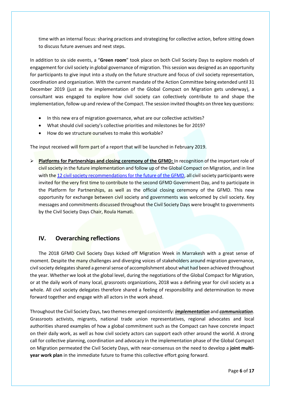time with an internal focus: sharing practices and strategizing for collective action, before sitting down to discuss future avenues and next steps.

In addition to six side events, a "**Green room**" took place on both Civil Society Days to explore models of engagement for civil society in global governance of migration. This session was designed as an opportunity for participants to give input into a study on the future structure and focus of civil society representation, coordination and organization. With the current mandate of the Action Committee being extended until 31 December 2019 (just as the implementation of the Global Compact on Migration gets underway), a consultant was engaged to explore how civil society can collectively contribute to and shape the implementation, follow-up and review of the Compact. The session invited thoughts on three key questions:

- In this new era of migration governance, what are our collective activities?
- What should civil society's collective priorities and milestones be for 2019?
- How do we structure ourselves to make this workable?

The input received will form part of a report that will be launched in February 2019.

➢ **Platforms for Partnerships and closing ceremony of the GFMD:** In recognition of the important role of civil society in the future implementation and follow up of the Global Compact on Migration, and in line with the [12 civil society recommendations for the future of the GFMD,](file:///C:/Users/rsh/AppData/Local/Microsoft/Windows/Temporary%20Internet%20Files/12%20CS%20Recs%20for%20GFMD/12%20CS%20Recs%20for%20Future%20of%20GFMD%202018.pdf) all civil society participants were invited for the very first time to contribute to the second GFMD Government Day, and to participate in the Platform for Partnerships, as well as the official closing ceremony of the GFMD. This new opportunity for exchange between civil society and governments was welcomed by civil society. Key messages and commitments discussed throughout the Civil Society Days were brought to governments by the Civil Society Days Chair, Roula Hamati.

### <span id="page-5-0"></span>**IV. Overarching reflections**

The 2018 GFMD Civil Society Days kicked off Migration Week in Marrakesh with a great sense of moment. Despite the many challenges and diverging voices of stakeholders around migration governance, civil society delegates shared a general sense of accomplishment about what had been achieved throughout the year. Whether we look at the global level, during the negotiations of the Global Compact for Migration, or at the daily work of many local, grassroots organizations, 2018 was a defining year for civil society as a whole. All civil society delegates therefore shared a feeling of responsibility and determination to move forward together and engage with all actors in the work ahead.

Throughout the Civil Society Days, two themes emerged consistently: *implementation* and *communication*. Grassroots activists, migrants, national trade union representatives, regional advocates and local authorities shared examples of how a global commitment such as the Compact can have concrete impact on their daily work, as well as how civil society actors can support each other around the world. A strong call for collective planning, coordination and advocacy in the implementation phase of the Global Compact on Migration permeated the Civil Society Days, with near-consensus on the need to develop a **joint multiyear work plan** in the immediate future to frame this collective effort going forward.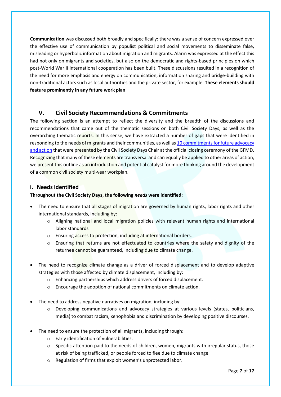**Communication** was discussed both broadly and specifically: there was a sense of concern expressed over the effective use of communication by populist political and social movements to disseminate false, misleading or hyperbolic information about migration and migrants. Alarm was expressed at the effect this had not only on migrants and societies, but also on the democratic and rights-based principles on which post-World War II international cooperation has been built. These discussions resulted in a recognition of the need for more emphasis and energy on communication, information sharing and bridge-building with non-traditional actors such as local authorities and the private sector, for example. **These elements should feature prominently in any future work plan**.

# <span id="page-6-0"></span>**V. Civil Society Recommendations & Commitments**

The following section is an attempt to reflect the diversity and the breadth of the discussions and recommendations that came out of the thematic sessions on both Civil Society Days, as well as the overarching thematic reports. In this sense, we have extracted a number of gaps that were identified in responding to the needs of migrants and their communities, as well as 10 commitments for future advocacy and [action](http://madenetwork.org/sites/default/files/GFMD%20CSD%20Chair%20report%202018_ENG.pdf) that were presented by the Civil Society Days Chair at the official closing ceremony of the GFMD. Recognizing that many of these elements are transversal and can equally be applied to other areas of action, we present this outline as an introduction and potential catalyst for more thinking around the development of a common civil society multi-year workplan.

#### <span id="page-6-1"></span>**i. Needs identified**

#### **Throughout the Civil Society Days, the following** *needs* **were identified:**

- The need to ensure that all stages of migration are governed by human rights, labor rights and other international standards, including by:
	- o Aligning national and local migration policies with relevant human rights and international labor standards
	- o Ensuring access to protection, including at international borders.
	- $\circ$  Ensuring that returns are not effectuated to countries where the safety and dignity of the returnee cannot be guaranteed, including due to climate change.
- The need to recognize climate change as a driver of forced displacement and to develop adaptive strategies with those affected by climate displacement, including by:
	- o Enhancing partnerships which address drivers of forced displacement.
	- o Encourage the adoption of national commitments on climate action.
- The need to address negative narratives on migration, including by:
	- o Developing communications and advocacy strategies at various levels (states, politicians, media) to combat racism, xenophobia and discrimination by developing positive discourses.
- The need to ensure the protection of all migrants, including through:
	- o Early identification of vulnerabilities.
	- $\circ$  Specific attention paid to the needs of children, women, migrants with irregular status, those at risk of being trafficked, or people forced to flee due to climate change.
	- o Regulation of firms that exploit women's unprotected labor.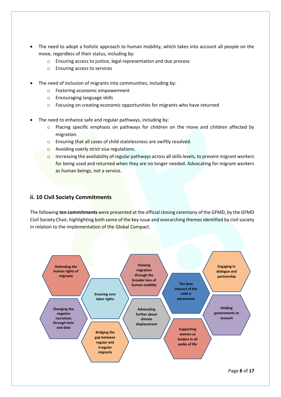- The need to adopt a holistic approach to human mobility, which takes into account all people on the move, regardless of their status, including by:
	- o Ensuring access to justice, legal representation and due process
	- o Ensuring access to services
- The need of inclusion of migrants into communities, including by:
	- o Fostering economic empowerment
	- o Encouraging language skills
	- o Focusing on creating economic opportunities for migrants who have returned
- The need to enhance safe and regular pathways, including by:
	- o Placing specific emphasis on pathways for children on the move and children affected by migration.
	- o Ensuring that all cases of child statelessness are swiftly resolved.
	- o Avoiding overly strict visa regulations.
	- o Increasing the availability of regular pathways across all skills levels, to prevent migrant workers for being used and returned when they are no longer needed. Advocating for migrant workers as human beings, not a service.

#### <span id="page-7-0"></span>**ii. 10 Civil Society Commitments**

The following **ten commitments** were presented at the official closing ceremony of the GFMD, by the GFMD Civil Society Chair, highlighting both some of the key issue and overarching themes identified by civil society in relation to the implementation of the Global Compact.

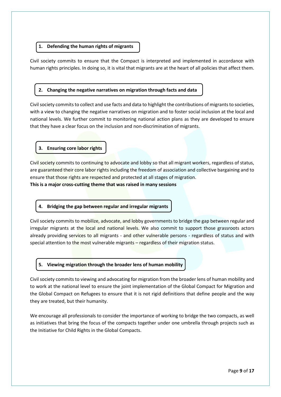#### **1. Defending the human rights of migrants**

Civil society commits to ensure that the Compact is interpreted and implemented in accordance with human rights principles. In doing so, it is vital that migrants are at the heart of all policies that affect them.

#### **2. Changing the negative narratives on migration through facts and data**

Civil society commits to collect and use facts and data to highlight the contributions of migrants to societies, with a view to changing the negative narratives on migration and to foster social inclusion at the local and national levels. We further commit to monitoring national action plans as they are developed to ensure that they have a clear focus on the inclusion and non-discrimination of migrants.

**3. Ensuring core labor rights** 

Civil society commits to continuing to advocate and lobby so that all migrant workers, regardless of status, are guaranteed their core labor rights including the freedom of association and collective bargaining and to ensure that those rights are respected and protected at all stages of migration.

**This is a major cross-cutting theme that was raised in many sessions**

#### **4. Bridging the gap between regular and irregular migrants**

Civil society commits to mobilize, advocate, and lobby governments to bridge the gap between regular and irregular migrants at the local and national levels. We also commit to support those grassroots actors already providing services to all migrants - and other vulnerable persons - regardless of status and with special attention to the most vulnerable migrants – regardless of their migration status.

#### **5. Viewing migration through the broader lens of human mobility**

Civil society commits to viewing and advocating for migration from the broader lens of human mobility and to work at the national level to ensure the joint implementation of the Global Compact for Migration and the Global Compact on Refugees to ensure that it is not rigid definitions that define people and the way they are treated, but their humanity.

We encourage all professionals to consider the importance of working to bridge the two compacts, as well as initiatives that bring the focus of the compacts together under one umbrella through projects such as the Initiative for Child Rights in the Global Compacts.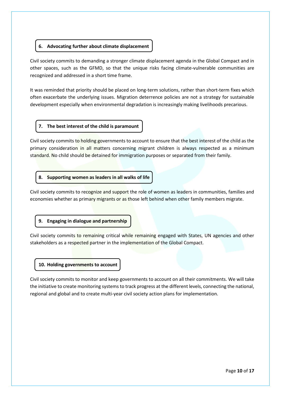#### **6. Advocating further about climate displacement**

Civil society commits to demanding a stronger climate displacement agenda in the Global Compact and in other spaces, such as the GFMD, so that the unique risks facing climate-vulnerable communities are recognized and addressed in a short time frame.

It was reminded that priority should be placed on long-term solutions, rather than short-term fixes which often exacerbate the underlying issues. Migration deterrence policies are not a strategy for sustainable development especially when environmental degradation is increasingly making livelihoods precarious.

#### **7. The best interest of the child is paramount**

Civil society commits to holding governments to account to ensure that the best interest of the child as the primary consideration in all matters concerning migrant children is always respected as a minimum standard. No child should be detained for immigration purposes or separated from their family.

#### **8. Supporting women as leaders in all walks of life**

Civil society commits to recognize and support the role of women as leaders in communities, families and economies whether as primary migrants or as those left behind when other family members migrate.

#### **9. Engaging in dialogue and partnership**

Civil society commits to remaining critical while remaining engaged with States, UN agencies and other stakeholders as a respected partner in the implementation of the Global Compact.

#### **10. Holding governments to account**

Civil society commits to monitor and keep governments to account on all their commitments. We will take the initiative to create monitoring systems to track progress at the different levels, connecting the national, regional and global and to create multi-year civil society action plans for implementation.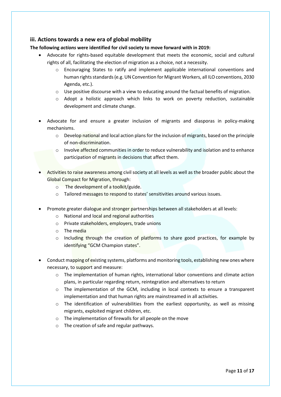#### <span id="page-10-0"></span>**iii. Actions towards a new era of global mobility**

**The following** *actions* **were identified for civil society to move forward with in 2019:** 

- Advocate for rights-based equitable development that meets the economic, social and cultural rights of all, facilitating the election of migration as a choice, not a necessity.
	- o Encouraging States to ratify and implement applicable international conventions and human rights standards (e.g. UN Convention for Migrant Workers, all ILO conventions, 2030 Agenda, etc.).
	- o Use positive discourse with a view to educating around the factual benefits of migration.
	- $\circ$  Adopt a holistic approach which links to work on poverty reduction, sustainable development and climate change.
- Advocate for and ensure a greater inclusion of migrants and diasporas in policy-making mechanisms.
	- o Develop national and local action plans for the inclusion of migrants, based on the principle of non-discrimination.
	- o Involve affected communities in order to reduce vulnerability and isolation and to enhance participation of migrants in decisions that affect them.
- Activities to raise awareness among civil society at all levels as well as the broader public about the Global Compact for Migration, through:
	- o The development of a toolkit/guide.
	- o Tailored messages to respond to states' sensitivities around various issues.
- Promote greater dialogue and stronger partnerships between all stakeholders at all levels:
	- o National and local and regional authorities
	- o Private stakeholders, employers, trade unions
	- $\circ$  The media
	- o Including through the creation of platforms to share good practices, for example by identifying "GCM Champion states".
- Conduct mapping of existing systems, platforms and monitoring tools, establishing new ones where necessary, to support and measure:
	- $\circ$  The implementation of human rights, international labor conventions and climate action plans, in particular regarding return, reintegration and alternatives to return
	- o The implementation of the GCM, including in local contexts to ensure a transparent implementation and that human rights are mainstreamed in all activities.
	- $\circ$  The identification of vulnerabilities from the earliest opportunity, as well as missing migrants, exploited migrant children, etc.
	- o The implementation of firewalls for all people on the move
	- o The creation of safe and regular pathways.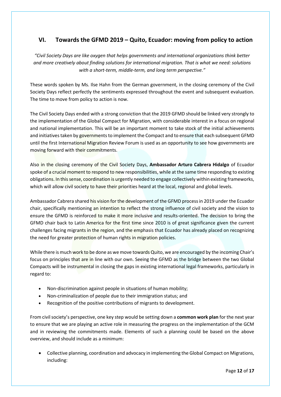# <span id="page-11-0"></span>**VI. Towards the GFMD 2019 – Quito, Ecuador: moving from policy to action**

*"Civil Society Days are like oxygen that helps governments and international organizations think better and more creatively about finding solutions for international migration. That is what we need: solutions with a short-term, middle-term, and long term perspective."*

These words spoken by Ms. Ilse Hahn from the German government, in the closing ceremony of the Civil Society Days reflect perfectly the sentiments expressed throughout the event and subsequent evaluation. The time to move from policy to action is now.

The Civil Society Days ended with a strong conviction that the 2019 GFMD should be linked very strongly to the implementation of the Global Compact for Migration, with considerable interest in a focus on regional and national implementation. This will be an important moment to take stock of the initial achievements and initiatives taken by governments to implement the Compact and to ensure that each subsequent GFMD until the first International Migration Review Forum is used as an opportunity to see how governments are moving forward with their commitments.

Also in the closing ceremony of the Civil Society Days, **Ambassador Arturo Cabrera Hidalgo** of Ecuador spoke of a crucial moment to respond to new responsibilities, while at the same time responding to existing obligations. In this sense, coordination is urgently needed to engage collectively within existing frameworks, which will allow civil society to have their priorities heard at the local, regional and global levels.

Ambassador Cabrera shared his vision for the development of the GFMD process in 2019 under the Ecuador chair, specifically mentioning an intention to reflect the strong influence of civil society and the vision to ensure the GFMD is reinforced to make it more inclusive and results-oriented. The decision to bring the GFMD chair back to Latin America for the first time since 2010 is of great significance given the current challenges facing migrants in the region, and the emphasis that Ecuador has already placed on recognizing the need for greater protection of human rights in migration policies.

While there is much work to be done as we move towards Quito, we are encouraged by the incoming Chair's focus on principles that are in line with our own. Seeing the GFMD as the bridge between the two Global Compacts will be instrumental in closing the gaps in existing international legal frameworks, particularly in regard to:

- Non-discrimination against people in situations of human mobility;
- Non-criminalization of people due to their immigration status; and
- Recognition of the positive contributions of migrants to development.

From civil society's perspective, one key step would be setting down a **common work plan** for the next year to ensure that we are playing an active role in measuring the progress on the implementation of the GCM and in reviewing the commitments made. Elements of such a planning could be based on the above overview, and should include as a minimum:

• Collective planning, coordination and advocacy in implementing the Global Compact on Migrations, including: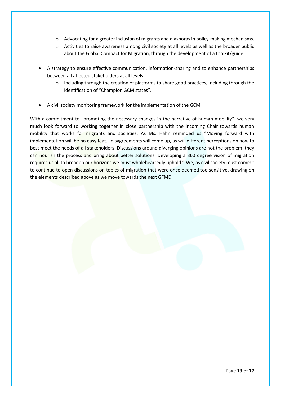- o Advocating for a greater inclusion of migrants and diasporas in policy-making mechanisms.
- o Activities to raise awareness among civil society at all levels as well as the broader public about the Global Compact for Migration, through the development of a toolkit/guide.
- A strategy to ensure effective communication, information-sharing and to enhance partnerships between all affected stakeholders at all levels.
	- $\circ$  Including through the creation of platforms to share good practices, including through the identification of "Champion GCM states".
- A civil society monitoring framework for the implementation of the GCM

With a commitment to "promoting the necessary changes in the narrative of human mobility", we very much look forward to working together in close partnership with the incoming Chair towards human mobility that works for migrants and societies. As Ms. Hahn reminded us "Moving forward with implementation will be no easy feat... disagreements will come up, as will different perceptions on how to best meet the needs of all stakeholders. Discussions around diverging opinions are not the problem, they can nourish the process and bring about better solutions. Developing a 360 degree vision of migration requires us all to broaden our horizons we must wholeheartedly uphold." We, as civil society must commit to continue to open discussions on topics of migration that were once deemed too sensitive, drawing on the elements described above as we move towards the next GFMD.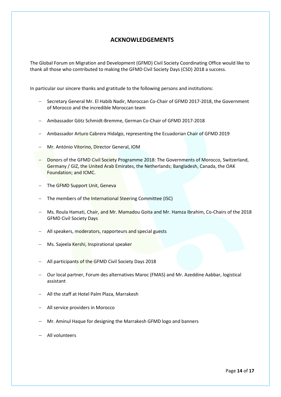# <span id="page-13-0"></span>**ACKNOWLEDGEMENTS**

The Global Forum on Migration and Development (GFMD) Civil Society Coordinating Office would like to thank all those who contributed to making the GFMD Civil Society Days (CSD) 2018 a success.

In particular our sincere thanks and gratitude to the following persons and institutions:

- − Secretary General Mr. El Habib Nadir, Moroccan Co-Chair of GFMD 2017-2018, the Government of Morocco and the incredible Moroccan team
- − Ambassador Götz Schmidt-Bremme, German Co-Chair of GFMD 2017-2018
- − Ambassador Arturo Cabrera Hidalgo, representing the Ecuadorian Chair of GFMD 2019
- − Mr. António Vitorino, Director General, IOM
- − Donors of the GFMD Civil Society Programme 2018: The Governments of Morocco, Switzerland, Germany / GIZ, the United Arab Emirates, the Netherlands; Bangladesh, Canada, the OAK Foundation; and ICMC.
- − The GFMD Support Unit, Geneva
- − The members of the International Steering Committee (ISC)
- − Ms. Roula Hamati, Chair, and Mr. Mamadou Goita and Mr. Hamza Ibrahim, Co-Chairs of the 2018 GFMD Civil Society Days
- − All speakers, moderators, rapporteurs and special guests
- − Ms. Sajeela Kershi, Inspirational speaker
- − All participants of the GFMD Civil Society Days 2018
- − Our local partner, Forum des alternatives Maroc (FMAS) and Mr. Azeddine Aabbar, logistical assistant
- − All the staff at Hotel Palm Plaza, Marrakesh
- − All service providers in Morocco
- − Mr. Aminul Haque for designing the Marrakesh GFMD logo and banners
- − All volunteers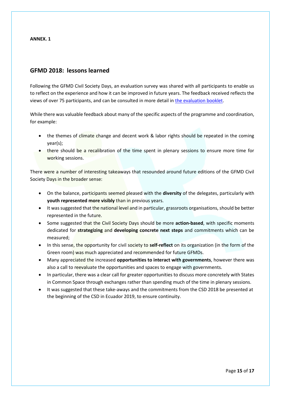#### **ANNEX. 1**

# <span id="page-14-1"></span><span id="page-14-0"></span>**GFMD 2018: lessons learned**

Following the GFMD Civil Society Days, an evaluation survey was shared with all participants to enable us to reflect on the experience and how it can be improved in future years. The feedback received reflects the views of over 75 participants, and can be consulted in more detail in [the evaluation booklet.](http://madenetwork.org/sites/default/files/GFMD%20CSD%202018%20Evaluation.pdf)

While there was valuable feedback about many of the specific aspects of the programme and coordination, for example:

- the themes of climate change and decent work & labor rights should be repeated in the coming year(s);
- there should be a recalibration of the time spent in plenary sessions to ensure more time for working sessions.

There were a number of interesting takeaways that resounded around future editions of the GFMD Civil Society Days in the broader sense:

- On the balance, participants seemed pleased with the **diversity** of the delegates, particularly with **youth represented more visibly** than in previous years.
- It was suggested that the national level and in particular, grassroots organisations, should be better represented in the future.
- Some suggested that the Civil Society Days should be more **action-based**, with specific moments dedicated for **strategizing** and **developing concrete next steps** and commitments which can be measured;
- In this sense, the opportunity for civil society to **self-reflect** on its organization (in the form of the Green room) was much appreciated and recommended for future GFMDs.
- Many appreciated the increased **opportunities to interact with governments**, however there was also a call to reevaluate the opportunities and spaces to engage with governments.
- In particular, there was a clear call for greater opportunities to discuss more concretely with States in Common Space through exchanges rather than spending much of the time in plenary sessions.
- It was suggested that these take-aways and the commitments from the CSD 2018 be presented at the beginning of the CSD in Ecuador 2019, to ensure continuity.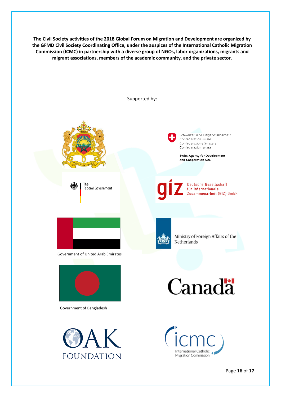**The Civil Society activities of the 2018 Global Forum on Migration and Development are organized by the GFMD Civil Society Coordinating Office, under the auspices of the International Catholic Migration Commission (ICMC) in partnership with a diverse group of NGOs, labor organizations, migrants and migrant associations, members of the academic community, and the private sector.**



Page **16** of **17**